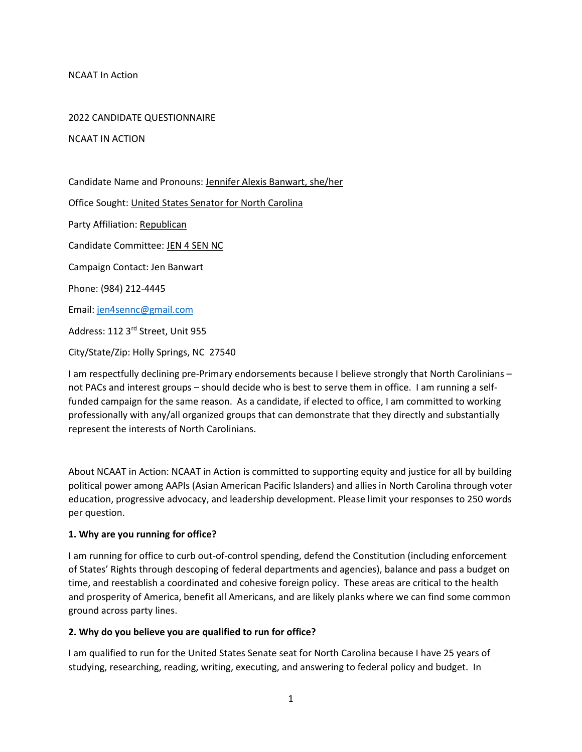NCAAT In Action

#### 2022 CANDIDATE QUESTIONNAIRE

NCAAT IN ACTION

Candidate Name and Pronouns: Jennifer Alexis Banwart, she/her

Office Sought: United States Senator for North Carolina

Party Affiliation: Republican

Candidate Committee: JEN 4 SEN NC

Campaign Contact: Jen Banwart

Phone: (984) 212-4445

Email: jen4sennc@gmail.com

Address: 112 3rd Street, Unit 955

City/State/Zip: Holly Springs, NC 27540

I am respectfully declining pre-Primary endorsements because I believe strongly that North Carolinians – not PACs and interest groups – should decide who is best to serve them in office. I am running a selffunded campaign for the same reason. As a candidate, if elected to office, I am committed to working professionally with any/all organized groups that can demonstrate that they directly and substantially represent the interests of North Carolinians.

About NCAAT in Action: NCAAT in Action is committed to supporting equity and justice for all by building political power among AAPIs (Asian American Pacific Islanders) and allies in North Carolina through voter education, progressive advocacy, and leadership development. Please limit your responses to 250 words per question.

### 1. Why are you running for office?

I am running for office to curb out-of-control spending, defend the Constitution (including enforcement of States' Rights through descoping of federal departments and agencies), balance and pass a budget on time, and reestablish a coordinated and cohesive foreign policy. These areas are critical to the health and prosperity of America, benefit all Americans, and are likely planks where we can find some common ground across party lines.

### 2. Why do you believe you are qualified to run for office?

I am qualified to run for the United States Senate seat for North Carolina because I have 25 years of studying, researching, reading, writing, executing, and answering to federal policy and budget. In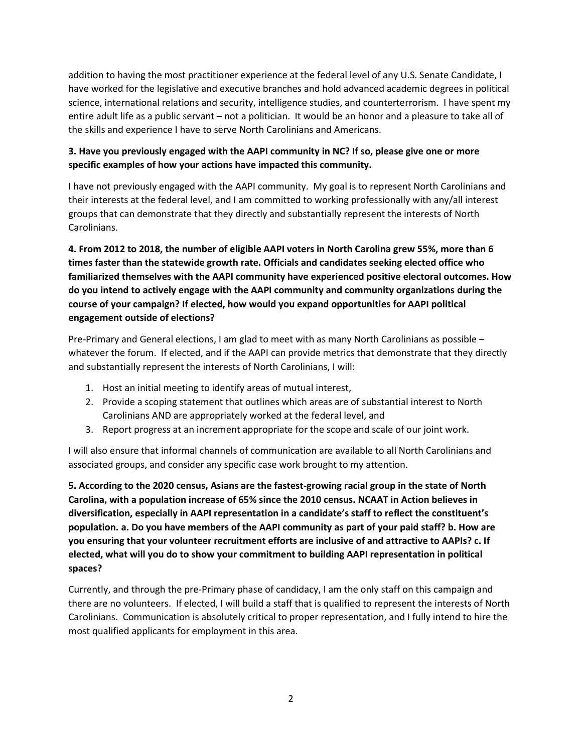addition to having the most practitioner experience at the federal level of any U.S. Senate Candidate, I have worked for the legislative and executive branches and hold advanced academic degrees in political science, international relations and security, intelligence studies, and counterterrorism. I have spent my entire adult life as a public servant – not a politician. It would be an honor and a pleasure to take all of the skills and experience I have to serve North Carolinians and Americans.

## 3. Have you previously engaged with the AAPI community in NC? If so, please give one or more specific examples of how your actions have impacted this community.

I have not previously engaged with the AAPI community. My goal is to represent North Carolinians and their interests at the federal level, and I am committed to working professionally with any/all interest groups that can demonstrate that they directly and substantially represent the interests of North Carolinians.

4. From 2012 to 2018, the number of eligible AAPI voters in North Carolina grew 55%, more than 6 times faster than the statewide growth rate. Officials and candidates seeking elected office who familiarized themselves with the AAPI community have experienced positive electoral outcomes. How do you intend to actively engage with the AAPI community and community organizations during the course of your campaign? If elected, how would you expand opportunities for AAPI political engagement outside of elections?

Pre-Primary and General elections, I am glad to meet with as many North Carolinians as possible – whatever the forum. If elected, and if the AAPI can provide metrics that demonstrate that they directly and substantially represent the interests of North Carolinians, I will:

- 1. Host an initial meeting to identify areas of mutual interest,
- 2. Provide a scoping statement that outlines which areas are of substantial interest to North Carolinians AND are appropriately worked at the federal level, and
- 3. Report progress at an increment appropriate for the scope and scale of our joint work.

I will also ensure that informal channels of communication are available to all North Carolinians and associated groups, and consider any specific case work brought to my attention.

5. According to the 2020 census, Asians are the fastest-growing racial group in the state of North Carolina, with a population increase of 65% since the 2010 census. NCAAT in Action believes in diversification, especially in AAPI representation in a candidate's staff to reflect the constituent's population. a. Do you have members of the AAPI community as part of your paid staff? b. How are you ensuring that your volunteer recruitment efforts are inclusive of and attractive to AAPIs? c. If elected, what will you do to show your commitment to building AAPI representation in political spaces?

Currently, and through the pre-Primary phase of candidacy, I am the only staff on this campaign and there are no volunteers. If elected, I will build a staff that is qualified to represent the interests of North Carolinians. Communication is absolutely critical to proper representation, and I fully intend to hire the most qualified applicants for employment in this area.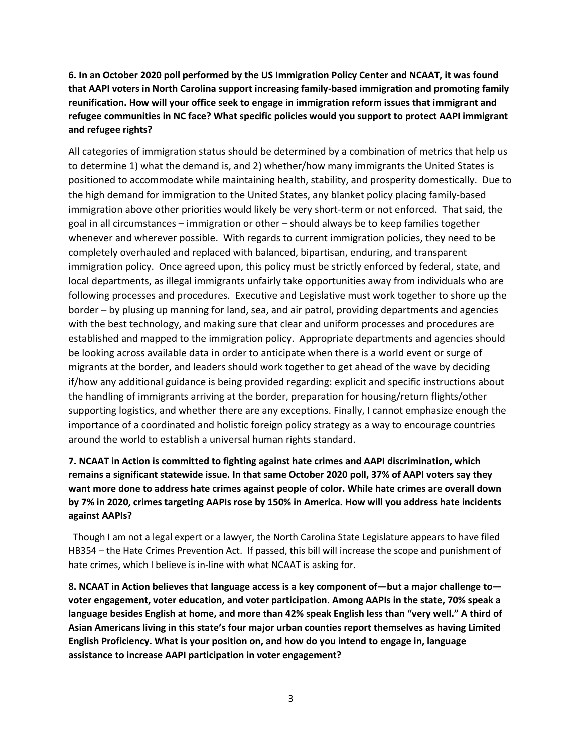# 6. In an October 2020 poll performed by the US Immigration Policy Center and NCAAT, it was found that AAPI voters in North Carolina support increasing family-based immigration and promoting family reunification. How will your office seek to engage in immigration reform issues that immigrant and refugee communities in NC face? What specific policies would you support to protect AAPI immigrant and refugee rights?

All categories of immigration status should be determined by a combination of metrics that help us to determine 1) what the demand is, and 2) whether/how many immigrants the United States is positioned to accommodate while maintaining health, stability, and prosperity domestically. Due to the high demand for immigration to the United States, any blanket policy placing family-based immigration above other priorities would likely be very short-term or not enforced. That said, the goal in all circumstances – immigration or other – should always be to keep families together whenever and wherever possible. With regards to current immigration policies, they need to be completely overhauled and replaced with balanced, bipartisan, enduring, and transparent immigration policy. Once agreed upon, this policy must be strictly enforced by federal, state, and local departments, as illegal immigrants unfairly take opportunities away from individuals who are following processes and procedures. Executive and Legislative must work together to shore up the border – by plusing up manning for land, sea, and air patrol, providing departments and agencies with the best technology, and making sure that clear and uniform processes and procedures are established and mapped to the immigration policy. Appropriate departments and agencies should be looking across available data in order to anticipate when there is a world event or surge of migrants at the border, and leaders should work together to get ahead of the wave by deciding if/how any additional guidance is being provided regarding: explicit and specific instructions about the handling of immigrants arriving at the border, preparation for housing/return flights/other supporting logistics, and whether there are any exceptions. Finally, I cannot emphasize enough the importance of a coordinated and holistic foreign policy strategy as a way to encourage countries around the world to establish a universal human rights standard.

# 7. NCAAT in Action is committed to fighting against hate crimes and AAPI discrimination, which remains a significant statewide issue. In that same October 2020 poll, 37% of AAPI voters say they want more done to address hate crimes against people of color. While hate crimes are overall down by 7% in 2020, crimes targeting AAPIs rose by 150% in America. How will you address hate incidents against AAPIs?

 Though I am not a legal expert or a lawyer, the North Carolina State Legislature appears to have filed HB354 – the Hate Crimes Prevention Act. If passed, this bill will increase the scope and punishment of hate crimes, which I believe is in-line with what NCAAT is asking for.

8. NCAAT in Action believes that language access is a key component of—but a major challenge to voter engagement, voter education, and voter participation. Among AAPIs in the state, 70% speak a language besides English at home, and more than 42% speak English less than "very well." A third of Asian Americans living in this state's four major urban counties report themselves as having Limited English Proficiency. What is your position on, and how do you intend to engage in, language assistance to increase AAPI participation in voter engagement?